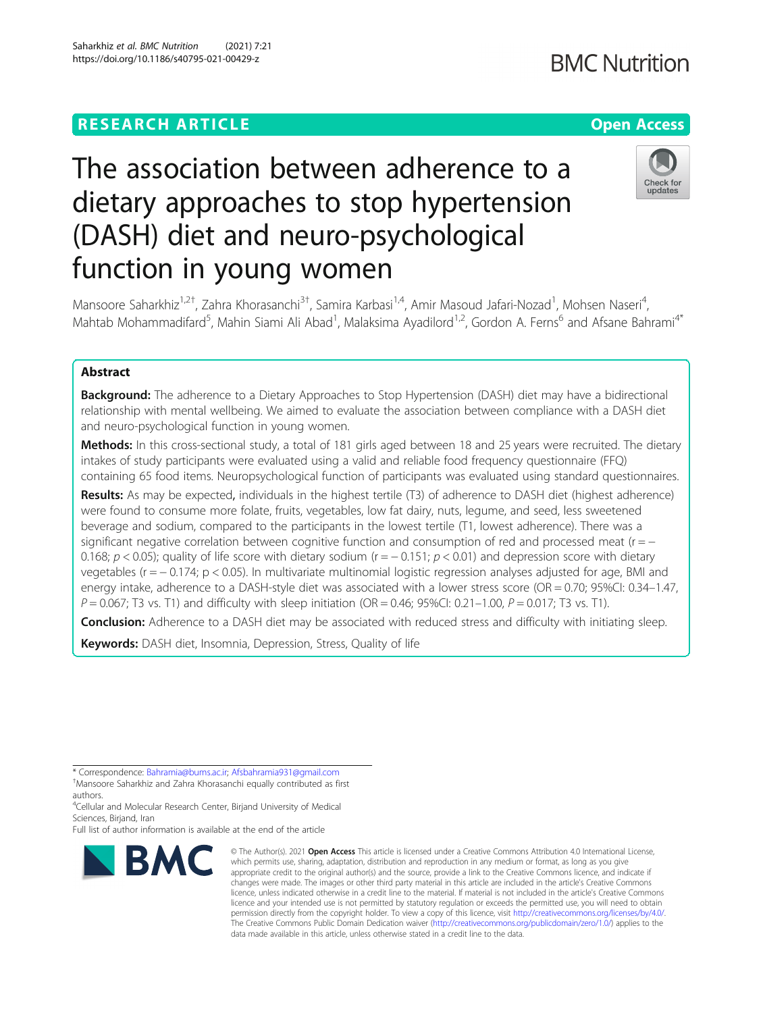# **RESEARCH ARTICLE Example 2014 12:30 The Contract of Contract ACCESS**

# The association between adherence to a dietary approaches to stop hypertension (DASH) diet and neuro-psychological function in young women

Mansoore Saharkhiz<sup>1,2†</sup>, Zahra Khorasanchi<sup>3†</sup>, Samira Karbasi<sup>1,4</sup>, Amir Masoud Jafari-Nozad<sup>1</sup>, Mohsen Naseri<sup>4</sup> , Mahtab Mohammadifard<sup>5</sup>, Mahin Siami Ali Abad<sup>1</sup>, Malaksima Ayadilord<sup>1,2</sup>, Gordon A. Ferns<sup>6</sup> and Afsane Bahrami<sup>4\*</sup>

# Abstract

Background: The adherence to a Dietary Approaches to Stop Hypertension (DASH) diet may have a bidirectional relationship with mental wellbeing. We aimed to evaluate the association between compliance with a DASH diet and neuro-psychological function in young women.

Methods: In this cross-sectional study, a total of 181 girls aged between 18 and 25 years were recruited. The dietary intakes of study participants were evaluated using a valid and reliable food frequency questionnaire (FFQ) containing 65 food items. Neuropsychological function of participants was evaluated using standard questionnaires.

Results: As may be expected, individuals in the highest tertile (T3) of adherence to DASH diet (highest adherence) were found to consume more folate, fruits, vegetables, low fat dairy, nuts, legume, and seed, less sweetened beverage and sodium, compared to the participants in the lowest tertile (T1, lowest adherence). There was a significant negative correlation between cognitive function and consumption of red and processed meat ( $r = -$ 0.168;  $p < 0.05$ ); quality of life score with dietary sodium (r =  $-0.151$ ;  $p < 0.01$ ) and depression score with dietary vegetables (r = − 0.174; p < 0.05). In multivariate multinomial logistic regression analyses adjusted for age, BMI and energy intake, adherence to a DASH-style diet was associated with a lower stress score (OR = 0.70; 95%CI: 0.34–1.47,  $P = 0.067$ ; T3 vs. T1) and difficulty with sleep initiation (OR = 0.46; 95%CI: 0.21–1.00,  $P = 0.017$ ; T3 vs. T1).

Conclusion: Adherence to a DASH diet may be associated with reduced stress and difficulty with initiating sleep.

Keywords: DASH diet, Insomnia, Depression, Stress, Quality of life

<sup>4</sup>Cellular and Molecular Research Center, Birjand University of Medical Sciences, Birjand, Iran

\* Correspondence: [Bahramia@bums.ac.ir](mailto:Bahramia@bums.ac.ir); [Afsbahramia931@gmail.com](mailto:Afsbahramia931@gmail.com) † Mansoore Saharkhiz and Zahra Khorasanchi equally contributed as first

Full list of author information is available at the end of the article

authors.

© The Author(s), 2021 **Open Access** This article is licensed under a Creative Commons Attribution 4.0 International License, which permits use, sharing, adaptation, distribution and reproduction in any medium or format, as long as you give appropriate credit to the original author(s) and the source, provide a link to the Creative Commons licence, and indicate if changes were made. The images or other third party material in this article are included in the article's Creative Commons licence, unless indicated otherwise in a credit line to the material. If material is not included in the article's Creative Commons licence and your intended use is not permitted by statutory regulation or exceeds the permitted use, you will need to obtain permission directly from the copyright holder. To view a copy of this licence, visit [http://creativecommons.org/licenses/by/4.0/.](http://creativecommons.org/licenses/by/4.0/) The Creative Commons Public Domain Dedication waiver [\(http://creativecommons.org/publicdomain/zero/1.0/](http://creativecommons.org/publicdomain/zero/1.0/)) applies to the data made available in this article, unless otherwise stated in a credit line to the data.



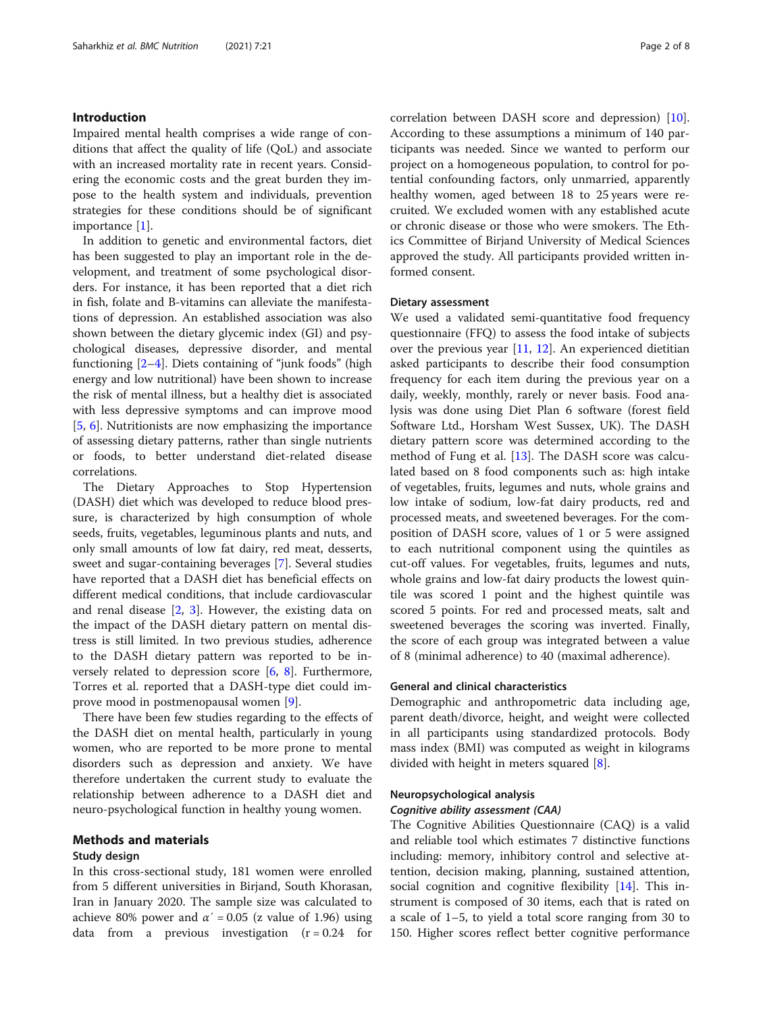## Introduction

Impaired mental health comprises a wide range of conditions that affect the quality of life (QoL) and associate with an increased mortality rate in recent years. Considering the economic costs and the great burden they impose to the health system and individuals, prevention strategies for these conditions should be of significant importance [\[1](#page-6-0)].

In addition to genetic and environmental factors, diet has been suggested to play an important role in the development, and treatment of some psychological disorders. For instance, it has been reported that a diet rich in fish, folate and B-vitamins can alleviate the manifestations of depression. An established association was also shown between the dietary glycemic index (GI) and psychological diseases, depressive disorder, and mental functioning  $[2-4]$  $[2-4]$  $[2-4]$  $[2-4]$ . Diets containing of "junk foods" (high energy and low nutritional) have been shown to increase the risk of mental illness, but a healthy diet is associated with less depressive symptoms and can improve mood [[5,](#page-6-0) [6\]](#page-6-0). Nutritionists are now emphasizing the importance of assessing dietary patterns, rather than single nutrients or foods, to better understand diet-related disease correlations.

The Dietary Approaches to Stop Hypertension (DASH) diet which was developed to reduce blood pressure, is characterized by high consumption of whole seeds, fruits, vegetables, leguminous plants and nuts, and only small amounts of low fat dairy, red meat, desserts, sweet and sugar-containing beverages [\[7](#page-6-0)]. Several studies have reported that a DASH diet has beneficial effects on different medical conditions, that include cardiovascular and renal disease [[2,](#page-6-0) [3](#page-6-0)]. However, the existing data on the impact of the DASH dietary pattern on mental distress is still limited. In two previous studies, adherence to the DASH dietary pattern was reported to be inversely related to depression score [\[6](#page-6-0), [8\]](#page-6-0). Furthermore, Torres et al. reported that a DASH-type diet could improve mood in postmenopausal women [\[9](#page-6-0)].

There have been few studies regarding to the effects of the DASH diet on mental health, particularly in young women, who are reported to be more prone to mental disorders such as depression and anxiety. We have therefore undertaken the current study to evaluate the relationship between adherence to a DASH diet and neuro-psychological function in healthy young women.

# Methods and materials

# Study design

In this cross-sectional study, 181 women were enrolled from 5 different universities in Birjand, South Khorasan, Iran in January 2020. The sample size was calculated to achieve 80% power and  $\alpha' = 0.05$  (z value of 1.96) using data from a previous investigation  $(r = 0.24$  for correlation between DASH score and depression) [\[10](#page-6-0)]. According to these assumptions a minimum of 140 participants was needed. Since we wanted to perform our project on a homogeneous population, to control for potential confounding factors, only unmarried, apparently healthy women, aged between 18 to 25 years were recruited. We excluded women with any established acute or chronic disease or those who were smokers. The Ethics Committee of Birjand University of Medical Sciences approved the study. All participants provided written informed consent.

#### Dietary assessment

We used a validated semi-quantitative food frequency questionnaire (FFQ) to assess the food intake of subjects over the previous year [\[11](#page-6-0), [12](#page-6-0)]. An experienced dietitian asked participants to describe their food consumption frequency for each item during the previous year on a daily, weekly, monthly, rarely or never basis. Food analysis was done using Diet Plan 6 software (forest field Software Ltd., Horsham West Sussex, UK). The DASH dietary pattern score was determined according to the method of Fung et al. [[13\]](#page-6-0). The DASH score was calculated based on 8 food components such as: high intake of vegetables, fruits, legumes and nuts, whole grains and low intake of sodium, low-fat dairy products, red and processed meats, and sweetened beverages. For the composition of DASH score, values of 1 or 5 were assigned to each nutritional component using the quintiles as cut-off values. For vegetables, fruits, legumes and nuts, whole grains and low-fat dairy products the lowest quintile was scored 1 point and the highest quintile was scored 5 points. For red and processed meats, salt and sweetened beverages the scoring was inverted. Finally, the score of each group was integrated between a value of 8 (minimal adherence) to 40 (maximal adherence).

# General and clinical characteristics

Demographic and anthropometric data including age, parent death/divorce, height, and weight were collected in all participants using standardized protocols. Body mass index (BMI) was computed as weight in kilograms divided with height in meters squared [\[8](#page-6-0)].

#### Neuropsychological analysis

#### Cognitive ability assessment (CAA)

The Cognitive Abilities Questionnaire (CAQ) is a valid and reliable tool which estimates 7 distinctive functions including: memory, inhibitory control and selective attention, decision making, planning, sustained attention, social cognition and cognitive flexibility [[14](#page-6-0)]. This instrument is composed of 30 items, each that is rated on a scale of 1–5, to yield a total score ranging from 30 to 150. Higher scores reflect better cognitive performance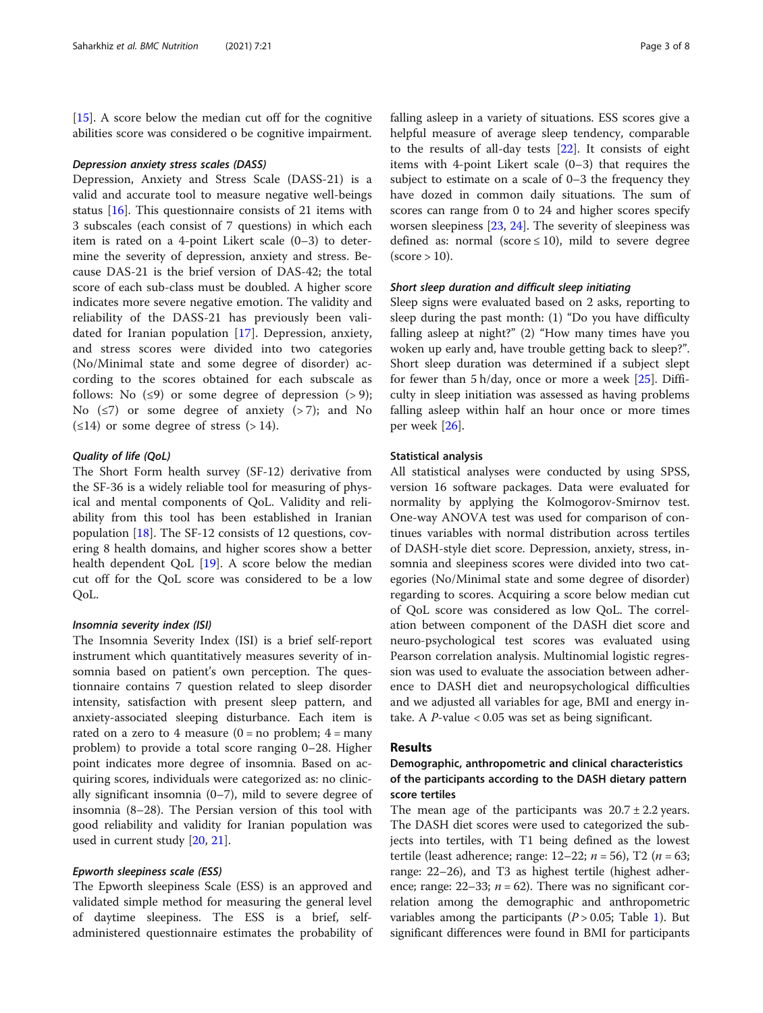[[15\]](#page-6-0). A score below the median cut off for the cognitive abilities score was considered o be cognitive impairment.

#### Depression anxiety stress scales (DASS)

Depression, Anxiety and Stress Scale (DASS-21) is a valid and accurate tool to measure negative well-beings status [\[16\]](#page-6-0). This questionnaire consists of 21 items with 3 subscales (each consist of 7 questions) in which each item is rated on a 4-point Likert scale (0–3) to determine the severity of depression, anxiety and stress. Because DAS-21 is the brief version of DAS-42; the total score of each sub-class must be doubled. A higher score indicates more severe negative emotion. The validity and reliability of the DASS-21 has previously been validated for Iranian population [\[17](#page-6-0)]. Depression, anxiety, and stress scores were divided into two categories (No/Minimal state and some degree of disorder) according to the scores obtained for each subscale as follows: No  $(\leq 9)$  or some degree of depression  $(> 9)$ ; No  $(\leq 7)$  or some degree of anxiety  $(> 7)$ ; and No  $(\leq 14)$  or some degree of stress (> 14).

#### Quality of life (QoL)

The Short Form health survey (SF-12) derivative from the SF-36 is a widely reliable tool for measuring of physical and mental components of QoL. Validity and reliability from this tool has been established in Iranian population [[18\]](#page-6-0). The SF-12 consists of 12 questions, covering 8 health domains, and higher scores show a better health dependent QoL [[19\]](#page-7-0). A score below the median cut off for the QoL score was considered to be a low QoL.

# Insomnia severity index (ISI)

The Insomnia Severity Index (ISI) is a brief self-report instrument which quantitatively measures severity of insomnia based on patient's own perception. The questionnaire contains 7 question related to sleep disorder intensity, satisfaction with present sleep pattern, and anxiety-associated sleeping disturbance. Each item is rated on a zero to 4 measure  $(0 = no problem; 4 = many$ problem) to provide a total score ranging 0–28. Higher point indicates more degree of insomnia. Based on acquiring scores, individuals were categorized as: no clinically significant insomnia (0–7), mild to severe degree of insomnia (8–28). The Persian version of this tool with good reliability and validity for Iranian population was used in current study [\[20](#page-7-0), [21\]](#page-7-0).

## Epworth sleepiness scale (ESS)

The Epworth sleepiness Scale (ESS) is an approved and validated simple method for measuring the general level of daytime sleepiness. The ESS is a brief, selfadministered questionnaire estimates the probability of falling asleep in a variety of situations. ESS scores give a helpful measure of average sleep tendency, comparable to the results of all-day tests [[22\]](#page-7-0). It consists of eight items with 4-point Likert scale (0–3) that requires the subject to estimate on a scale of 0–3 the frequency they have dozed in common daily situations. The sum of scores can range from 0 to 24 and higher scores specify worsen sleepiness [\[23](#page-7-0), [24](#page-7-0)]. The severity of sleepiness was defined as: normal (score  $\leq$  10), mild to severe degree  $(score > 10)$ .

#### Short sleep duration and difficult sleep initiating

Sleep signs were evaluated based on 2 asks, reporting to sleep during the past month: (1) "Do you have difficulty falling asleep at night?" (2) "How many times have you woken up early and, have trouble getting back to sleep?". Short sleep duration was determined if a subject slept for fewer than 5 h/day, once or more a week [\[25](#page-7-0)]. Difficulty in sleep initiation was assessed as having problems falling asleep within half an hour once or more times per week [[26](#page-7-0)].

#### Statistical analysis

All statistical analyses were conducted by using SPSS, version 16 software packages. Data were evaluated for normality by applying the Kolmogorov-Smirnov test. One-way ANOVA test was used for comparison of continues variables with normal distribution across tertiles of DASH-style diet score. Depression, anxiety, stress, insomnia and sleepiness scores were divided into two categories (No/Minimal state and some degree of disorder) regarding to scores. Acquiring a score below median cut of QoL score was considered as low QoL. The correlation between component of the DASH diet score and neuro-psychological test scores was evaluated using Pearson correlation analysis. Multinomial logistic regression was used to evaluate the association between adherence to DASH diet and neuropsychological difficulties and we adjusted all variables for age, BMI and energy intake. A  $P$ -value < 0.05 was set as being significant.

#### Results

# Demographic, anthropometric and clinical characteristics of the participants according to the DASH dietary pattern score tertiles

The mean age of the participants was  $20.7 \pm 2.2$  years. The DASH diet scores were used to categorized the subjects into tertiles, with T1 being defined as the lowest tertile (least adherence; range:  $12-22$ ;  $n = 56$ ), T2 ( $n = 63$ ; range: 22–26), and T3 as highest tertile (highest adherence; range:  $22-33$ ;  $n = 62$ ). There was no significant correlation among the demographic and anthropometric variables among the participants  $(P > 0.05;$  Table [1](#page-3-0)). But significant differences were found in BMI for participants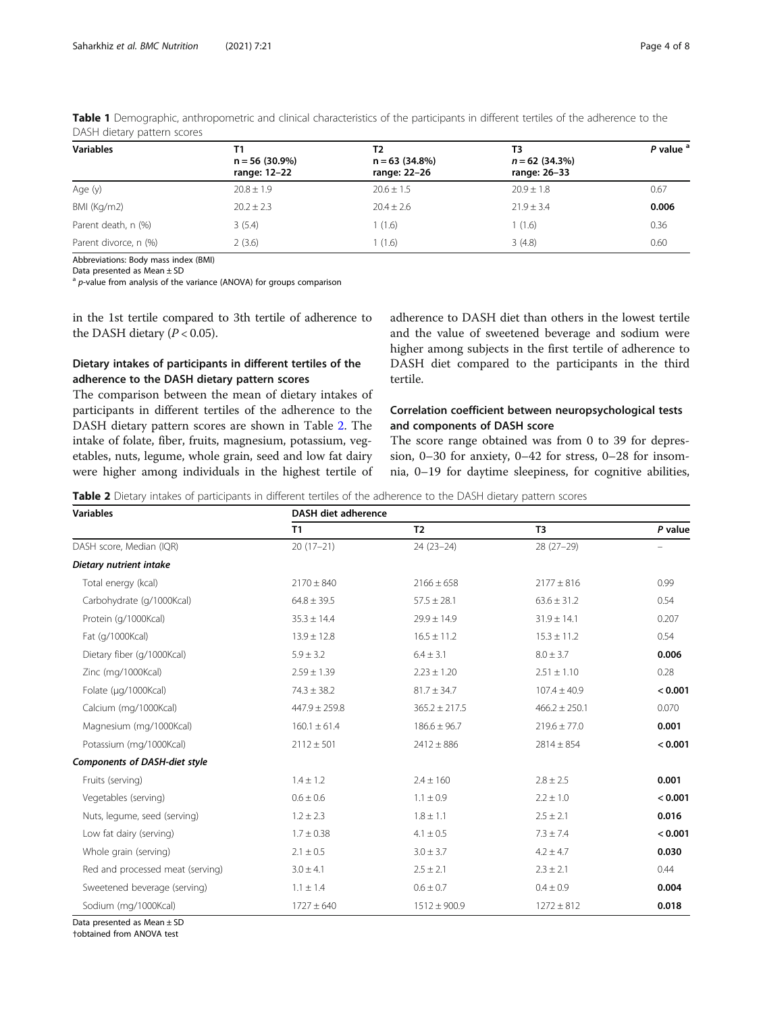| <b>Variables</b>      | Τ1<br>$n = 56(30.9\%)$<br>range: 12-22 | Т2<br>$n = 63$ (34.8%)<br>range: 22-26 | ТЗ<br>$n = 62$ (34.3%)<br>range: 26-33 | P value <sup>a</sup> |
|-----------------------|----------------------------------------|----------------------------------------|----------------------------------------|----------------------|
| Age (y)               | $20.8 \pm 1.9$                         | $20.6 \pm 1.5$                         | $20.9 \pm 1.8$                         | 0.67                 |
| BMI (Kg/m2)           | $20.2 \pm 2.3$                         | $20.4 \pm 2.6$                         | $21.9 \pm 3.4$                         | 0.006                |
| Parent death, n (%)   | 3(5.4)                                 | 1(1.6)                                 | 1(1.6)                                 | 0.36                 |
| Parent divorce, n (%) | 2(3.6)                                 | (1.6)                                  | 3(4.8)                                 | 0.60                 |

<span id="page-3-0"></span>Table 1 Demographic, anthropometric and clinical characteristics of the participants in different tertiles of the adherence to the DASH dietary pattern scores

Abbreviations: Body mass index (BMI)

Data presented as Mean ± SD

 $a$  p-value from analysis of the variance (ANOVA) for groups comparison

in the 1st tertile compared to 3th tertile of adherence to the DASH dietary  $(P < 0.05)$ .

# Dietary intakes of participants in different tertiles of the adherence to the DASH dietary pattern scores

The comparison between the mean of dietary intakes of participants in different tertiles of the adherence to the DASH dietary pattern scores are shown in Table 2. The intake of folate, fiber, fruits, magnesium, potassium, vegetables, nuts, legume, whole grain, seed and low fat dairy were higher among individuals in the highest tertile of adherence to DASH diet than others in the lowest tertile and the value of sweetened beverage and sodium were higher among subjects in the first tertile of adherence to DASH diet compared to the participants in the third tertile.

# Correlation coefficient between neuropsychological tests and components of DASH score

The score range obtained was from 0 to 39 for depression, 0–30 for anxiety, 0–42 for stress, 0–28 for insomnia, 0–19 for daytime sleepiness, for cognitive abilities,

Table 2 Dietary intakes of participants in different tertiles of the adherence to the DASH dietary pattern scores

| <b>Variables</b>                     | <b>DASH diet adherence</b> |                   |                   |         |  |  |
|--------------------------------------|----------------------------|-------------------|-------------------|---------|--|--|
|                                      | <b>T1</b>                  | T <sub>2</sub>    | T <sub>3</sub>    | P value |  |  |
| DASH score, Median (IQR)             | $20(17-21)$                | $24(23-24)$       | $28(27-29)$       |         |  |  |
| Dietary nutrient intake              |                            |                   |                   |         |  |  |
| Total energy (kcal)                  | $2170 \pm 840$             | $2166 \pm 658$    | $2177 \pm 816$    | 0.99    |  |  |
| Carbohydrate (g/1000Kcal)            | $64.8 \pm 39.5$            | $57.5 \pm 28.1$   | $63.6 \pm 31.2$   | 0.54    |  |  |
| Protein (g/1000Kcal)                 | $35.3 \pm 14.4$            | $29.9 \pm 14.9$   | $31.9 \pm 14.1$   | 0.207   |  |  |
| Fat (g/1000Kcal)                     | $13.9 \pm 12.8$            | $16.5 \pm 11.2$   | $15.3 \pm 11.2$   | 0.54    |  |  |
| Dietary fiber (g/1000Kcal)           | $5.9 \pm 3.2$              | $6.4 \pm 3.1$     | $8.0 \pm 3.7$     | 0.006   |  |  |
| Zinc (mg/1000Kcal)                   | $2.59 \pm 1.39$            | $2.23 \pm 1.20$   | $2.51 \pm 1.10$   | 0.28    |  |  |
| Folate (µg/1000Kcal)                 | $74.3 \pm 38.2$            | $81.7 \pm 34.7$   | $107.4 \pm 40.9$  | < 0.001 |  |  |
| Calcium (mg/1000Kcal)                | $447.9 \pm 259.8$          | $365.2 \pm 217.5$ | $466.2 \pm 250.1$ | 0.070   |  |  |
| Magnesium (mg/1000Kcal)              | $160.1 \pm 61.4$           | $186.6 \pm 96.7$  | $219.6 \pm 77.0$  | 0.001   |  |  |
| Potassium (mg/1000Kcal)              | $2112 \pm 501$             | $2412 \pm 886$    | $2814 \pm 854$    | < 0.001 |  |  |
| <b>Components of DASH-diet style</b> |                            |                   |                   |         |  |  |
| Fruits (serving)                     | $1.4 \pm 1.2$              | $2.4 \pm 160$     | $2.8 \pm 2.5$     | 0.001   |  |  |
| Vegetables (serving)                 | $0.6 \pm 0.6$              | $1.1 \pm 0.9$     | $2.2 \pm 1.0$     | < 0.001 |  |  |
| Nuts, legume, seed (serving)         | $1.2 \pm 2.3$              | $1.8 \pm 1.1$     | $2.5 \pm 2.1$     | 0.016   |  |  |
| Low fat dairy (serving)              | $1.7 \pm 0.38$             | $4.1 \pm 0.5$     | $7.3 \pm 7.4$     | < 0.001 |  |  |
| Whole grain (serving)                | $2.1 \pm 0.5$              | $3.0 \pm 3.7$     | $4.2 \pm 4.7$     | 0.030   |  |  |
| Red and processed meat (serving)     | $3.0 \pm 4.1$              | $2.5 \pm 2.1$     | $2.3 \pm 2.1$     | 0.44    |  |  |
| Sweetened beverage (serving)         | $1.1 \pm 1.4$              | $0.6 \pm 0.7$     | $0.4 \pm 0.9$     | 0.004   |  |  |
| Sodium (mg/1000Kcal)                 | $1727 \pm 640$             | $1512 \pm 900.9$  | $1272 \pm 812$    | 0.018   |  |  |

Data presented as Mean ± SD

†obtained from ANOVA test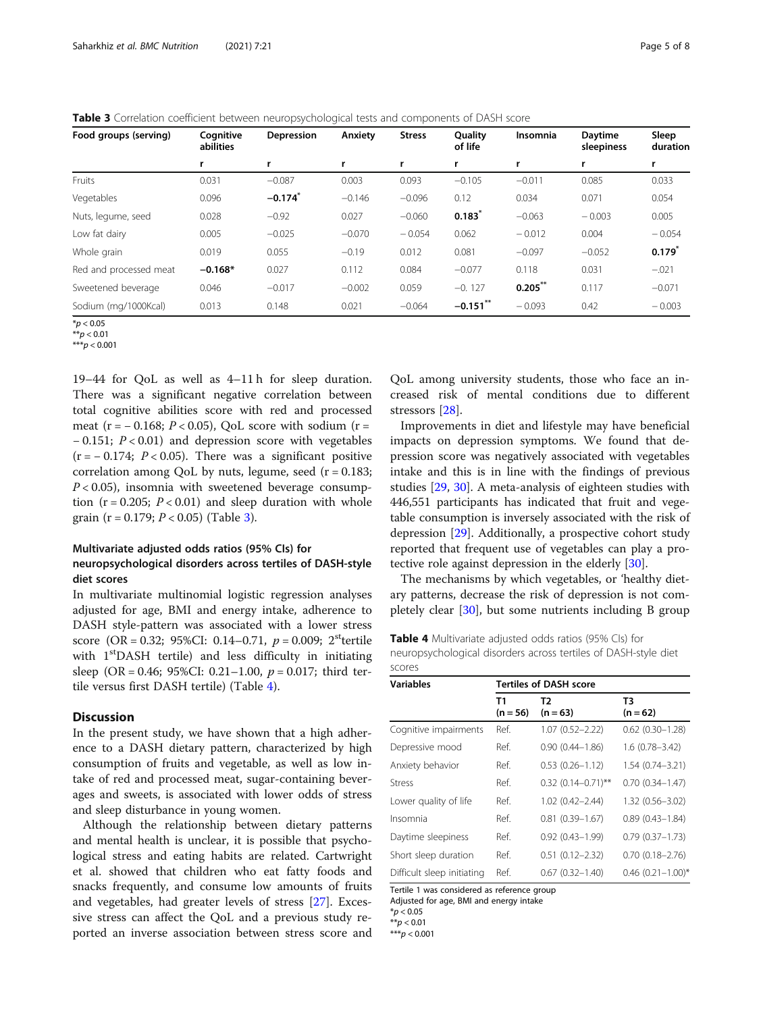| Food groups (serving)  | Cognitive<br>abilities | <b>Depression</b>     | Anxiety  | <b>Stress</b> | <b>Ouality</b><br>of life | <b>Insomnia</b> | <b>Davtime</b><br>sleepiness | Sleep<br>duration |
|------------------------|------------------------|-----------------------|----------|---------------|---------------------------|-----------------|------------------------------|-------------------|
|                        |                        | r                     | r        |               |                           |                 |                              |                   |
| Fruits                 | 0.031                  | $-0.087$              | 0.003    | 0.093         | $-0.105$                  | $-0.011$        | 0.085                        | 0.033             |
| Vegetables             | 0.096                  | $-0.174$ <sup>*</sup> | $-0.146$ | $-0.096$      | 0.12                      | 0.034           | 0.071                        | 0.054             |
| Nuts, legume, seed     | 0.028                  | $-0.92$               | 0.027    | $-0.060$      | 0.183                     | $-0.063$        | $-0.003$                     | 0.005             |
| Low fat dairy          | 0.005                  | $-0.025$              | $-0.070$ | $-0.054$      | 0.062                     | $-0.012$        | 0.004                        | $-0.054$          |
| Whole grain            | 0.019                  | 0.055                 | $-0.19$  | 0.012         | 0.081                     | $-0.097$        | $-0.052$                     | $0.179^{*}$       |
| Red and processed meat | $-0.168*$              | 0.027                 | 0.112    | 0.084         | $-0.077$                  | 0.118           | 0.031                        | $-.021$           |
| Sweetened beverage     | 0.046                  | $-0.017$              | $-0.002$ | 0.059         | $-0.127$                  | $0.205$ **      | 0.117                        | $-0.071$          |
| Sodium (mg/1000Kcal)   | 0.013                  | 0.148                 | 0.021    | $-0.064$      | $-0.151$ **               | $-0.093$        | 0.42                         | $-0.003$          |

Table 3 Correlation coefficient between neuropsychological tests and components of DASH score

\*\*\* $p < 0.001$ 

19–44 for QoL as well as 4–11 h for sleep duration. There was a significant negative correlation between total cognitive abilities score with red and processed meat (r =  $-$  0.168; P < 0.05), QoL score with sodium (r = − 0.151; P < 0.01) and depression score with vegetables  $(r = -0.174; P < 0.05)$ . There was a significant positive correlation among QoL by nuts, legume, seed  $(r = 0.183;$  $P < 0.05$ ), insomnia with sweetened beverage consumption ( $r = 0.205$ ;  $P < 0.01$ ) and sleep duration with whole grain (r = 0.179;  $P < 0.05$ ) (Table 3).

# Multivariate adjusted odds ratios (95% CIs) for neuropsychological disorders across tertiles of DASH-style diet scores

In multivariate multinomial logistic regression analyses adjusted for age, BMI and energy intake, adherence to DASH style-pattern was associated with a lower stress score (OR = 0.32; 95%CI: 0.14–0.71,  $p = 0.009$ ; 2<sup>st</sup>tertile with 1<sup>st</sup>DASH tertile) and less difficulty in initiating sleep (OR = 0.46; 95%CI: 0.21–1.00,  $p = 0.017$ ; third tertile versus first DASH tertile) (Table 4).

#### **Discussion**

In the present study, we have shown that a high adherence to a DASH dietary pattern, characterized by high consumption of fruits and vegetable, as well as low intake of red and processed meat, sugar-containing beverages and sweets, is associated with lower odds of stress and sleep disturbance in young women.

Although the relationship between dietary patterns and mental health is unclear, it is possible that psychological stress and eating habits are related. Cartwright et al. showed that children who eat fatty foods and snacks frequently, and consume low amounts of fruits and vegetables, had greater levels of stress [[27](#page-7-0)]. Excessive stress can affect the QoL and a previous study reported an inverse association between stress score and

QoL among university students, those who face an increased risk of mental conditions due to different stressors [[28\]](#page-7-0).

Improvements in diet and lifestyle may have beneficial impacts on depression symptoms. We found that depression score was negatively associated with vegetables intake and this is in line with the findings of previous studies [\[29](#page-7-0), [30](#page-7-0)]. A meta-analysis of eighteen studies with 446,551 participants has indicated that fruit and vegetable consumption is inversely associated with the risk of depression [[29\]](#page-7-0). Additionally, a prospective cohort study reported that frequent use of vegetables can play a protective role against depression in the elderly [[30\]](#page-7-0).

The mechanisms by which vegetables, or 'healthy dietary patterns, decrease the risk of depression is not completely clear [\[30](#page-7-0)], but some nutrients including B group

Table 4 Multivariate adjusted odds ratios (95% Cls) for neuropsychological disorders across tertiles of DASH-style diet scores

| T2<br>$(n = 56)$<br>$(n = 63)$<br>1.07 (0.52-2.22) | T3<br>$(n = 62)$<br>$0.62$ $(0.30 - 1.28)$ |
|----------------------------------------------------|--------------------------------------------|
|                                                    |                                            |
|                                                    |                                            |
| $0.90(0.44 - 1.86)$                                | $1.6(0.78 - 3.42)$                         |
| $0.53(0.26 - 1.12)$                                | 1.54 (0.74-3.21)                           |
| $0.32$ $(0.14 - 0.71)$ **                          | $0.70(0.34 - 1.47)$                        |
| $1.02(0.42 - 2.44)$                                | $1.32(0.56 - 3.02)$                        |
| $0.81(0.39 - 1.67)$                                | $0.89(0.43 - 1.84)$                        |
| $0.92(0.43 - 1.99)$                                | $0.79(0.37 - 1.73)$                        |
| $0.51(0.12 - 2.32)$                                | $0.70(0.18 - 2.76)$                        |
| $0.67(0.32 - 1.40)$                                | $0.46$ $(0.21 - 1.00)$ *                   |
|                                                    |                                            |

Tertile 1 was considered as reference group Adjusted for age, BMI and energy intake

 $*p < 0.05$ 

 $**p < 0.01$ 

\*\*\* $p < 0.001$ 

 $*$ *p* < 0.05

 $**p < 0.01$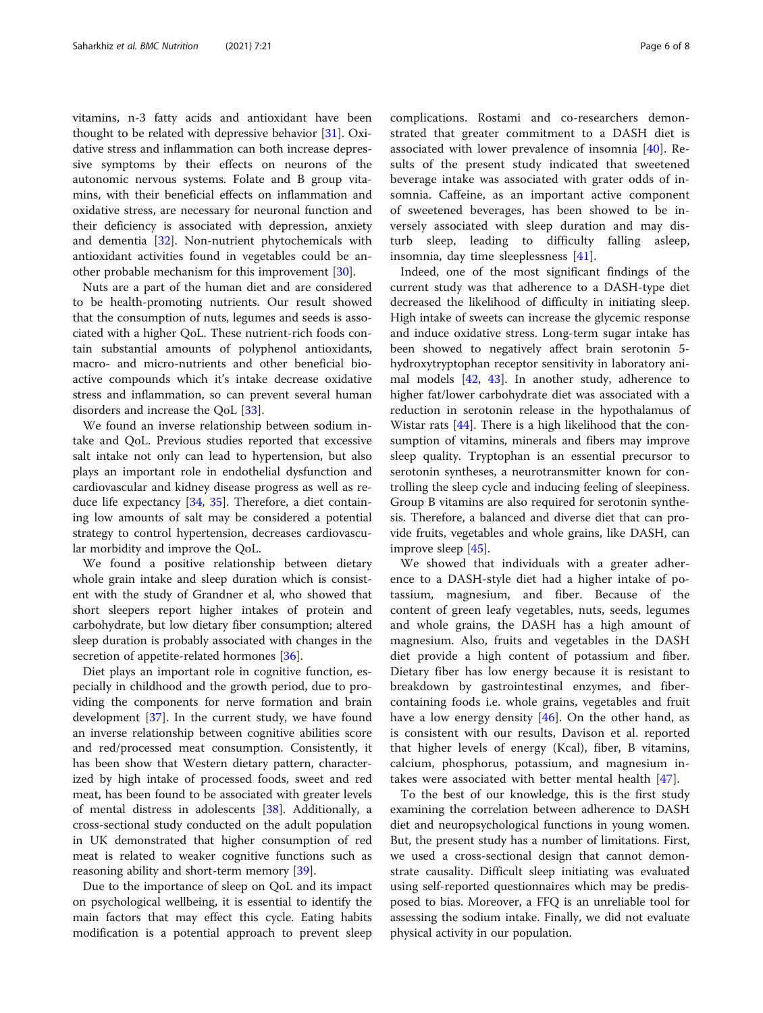vitamins, n-3 fatty acids and antioxidant have been thought to be related with depressive behavior [[31\]](#page-7-0). Oxidative stress and inflammation can both increase depressive symptoms by their effects on neurons of the autonomic nervous systems. Folate and B group vitamins, with their beneficial effects on inflammation and oxidative stress, are necessary for neuronal function and their deficiency is associated with depression, anxiety and dementia [\[32](#page-7-0)]. Non-nutrient phytochemicals with antioxidant activities found in vegetables could be another probable mechanism for this improvement [[30\]](#page-7-0).

Nuts are a part of the human diet and are considered to be health-promoting nutrients. Our result showed that the consumption of nuts, legumes and seeds is associated with a higher QoL. These nutrient-rich foods contain substantial amounts of polyphenol antioxidants, macro- and micro-nutrients and other beneficial bioactive compounds which it's intake decrease oxidative stress and inflammation, so can prevent several human disorders and increase the QoL [\[33](#page-7-0)].

We found an inverse relationship between sodium intake and QoL. Previous studies reported that excessive salt intake not only can lead to hypertension, but also plays an important role in endothelial dysfunction and cardiovascular and kidney disease progress as well as reduce life expectancy [\[34,](#page-7-0) [35\]](#page-7-0). Therefore, a diet containing low amounts of salt may be considered a potential strategy to control hypertension, decreases cardiovascular morbidity and improve the QoL.

We found a positive relationship between dietary whole grain intake and sleep duration which is consistent with the study of Grandner et al, who showed that short sleepers report higher intakes of protein and carbohydrate, but low dietary fiber consumption; altered sleep duration is probably associated with changes in the secretion of appetite-related hormones [\[36](#page-7-0)].

Diet plays an important role in cognitive function, especially in childhood and the growth period, due to providing the components for nerve formation and brain development [[37](#page-7-0)]. In the current study, we have found an inverse relationship between cognitive abilities score and red/processed meat consumption. Consistently, it has been show that Western dietary pattern, characterized by high intake of processed foods, sweet and red meat, has been found to be associated with greater levels of mental distress in adolescents [[38\]](#page-7-0). Additionally, a cross-sectional study conducted on the adult population in UK demonstrated that higher consumption of red meat is related to weaker cognitive functions such as reasoning ability and short-term memory [[39\]](#page-7-0).

Due to the importance of sleep on QoL and its impact on psychological wellbeing, it is essential to identify the main factors that may effect this cycle. Eating habits modification is a potential approach to prevent sleep

complications. Rostami and co-researchers demonstrated that greater commitment to a DASH diet is associated with lower prevalence of insomnia [[40](#page-7-0)]. Results of the present study indicated that sweetened beverage intake was associated with grater odds of insomnia. Caffeine, as an important active component of sweetened beverages, has been showed to be inversely associated with sleep duration and may disturb sleep, leading to difficulty falling asleep, insomnia, day time sleeplessness [\[41](#page-7-0)].

Indeed, one of the most significant findings of the current study was that adherence to a DASH-type diet decreased the likelihood of difficulty in initiating sleep. High intake of sweets can increase the glycemic response and induce oxidative stress. Long-term sugar intake has been showed to negatively affect brain serotonin 5 hydroxytryptophan receptor sensitivity in laboratory animal models [[42](#page-7-0), [43\]](#page-7-0). In another study, adherence to higher fat/lower carbohydrate diet was associated with a reduction in serotonin release in the hypothalamus of Wistar rats [[44\]](#page-7-0). There is a high likelihood that the consumption of vitamins, minerals and fibers may improve sleep quality. Tryptophan is an essential precursor to serotonin syntheses, a neurotransmitter known for controlling the sleep cycle and inducing feeling of sleepiness. Group B vitamins are also required for serotonin synthesis. Therefore, a balanced and diverse diet that can provide fruits, vegetables and whole grains, like DASH, can improve sleep [[45\]](#page-7-0).

We showed that individuals with a greater adherence to a DASH-style diet had a higher intake of potassium, magnesium, and fiber. Because of the content of green leafy vegetables, nuts, seeds, legumes and whole grains, the DASH has a high amount of magnesium. Also, fruits and vegetables in the DASH diet provide a high content of potassium and fiber. Dietary fiber has low energy because it is resistant to breakdown by gastrointestinal enzymes, and fibercontaining foods i.e. whole grains, vegetables and fruit have a low energy density [\[46](#page-7-0)]. On the other hand, as is consistent with our results, Davison et al. reported that higher levels of energy (Kcal), fiber, B vitamins, calcium, phosphorus, potassium, and magnesium intakes were associated with better mental health [\[47](#page-7-0)].

To the best of our knowledge, this is the first study examining the correlation between adherence to DASH diet and neuropsychological functions in young women. But, the present study has a number of limitations. First, we used a cross-sectional design that cannot demonstrate causality. Difficult sleep initiating was evaluated using self-reported questionnaires which may be predisposed to bias. Moreover, a FFQ is an unreliable tool for assessing the sodium intake. Finally, we did not evaluate physical activity in our population.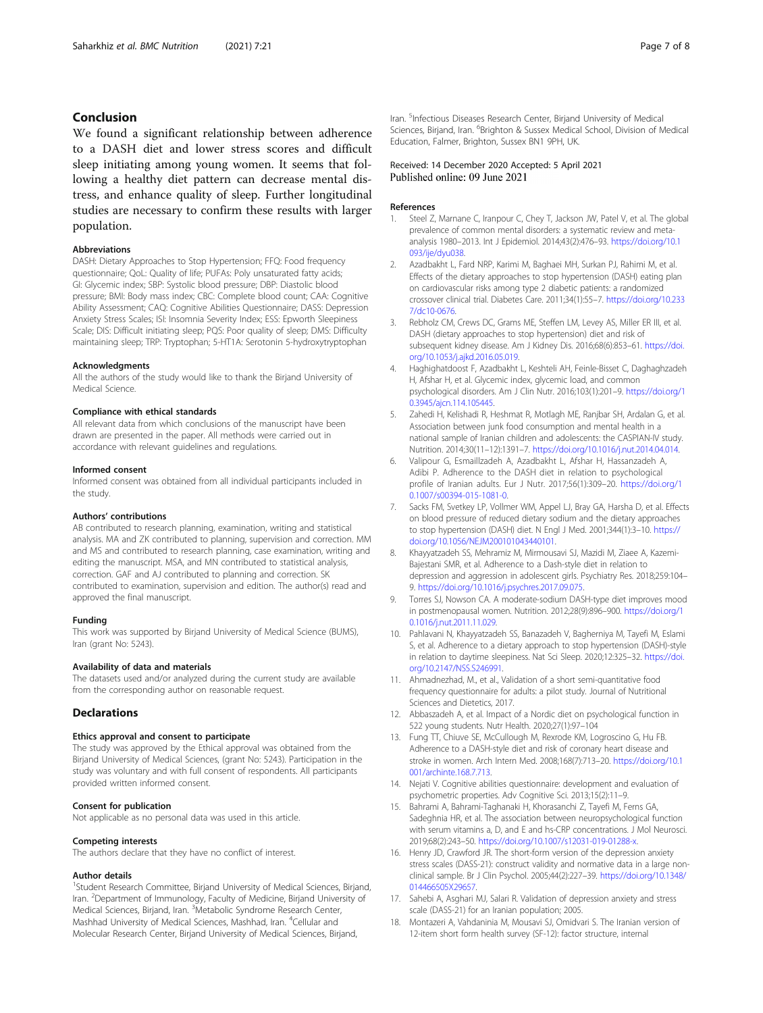# <span id="page-6-0"></span>Conclusion

We found a significant relationship between adherence to a DASH diet and lower stress scores and difficult sleep initiating among young women. It seems that following a healthy diet pattern can decrease mental distress, and enhance quality of sleep. Further longitudinal studies are necessary to confirm these results with larger population.

#### Abbreviations

DASH: Dietary Approaches to Stop Hypertension; FFQ: Food frequency questionnaire; QoL: Quality of life; PUFAs: Poly unsaturated fatty acids; GI: Glycemic index; SBP: Systolic blood pressure; DBP: Diastolic blood pressure; BMI: Body mass index; CBC: Complete blood count; CAA: Cognitive Ability Assessment; CAQ: Cognitive Abilities Questionnaire; DASS: Depression Anxiety Stress Scales; ISI: Insomnia Severity Index; ESS: Epworth Sleepiness Scale; DIS: Difficult initiating sleep; PQS: Poor quality of sleep; DMS: Difficulty maintaining sleep; TRP: Tryptophan; 5-HT1A: Serotonin 5-hydroxytryptophan

#### Acknowledgments

All the authors of the study would like to thank the Birjand University of Medical Science.

#### Compliance with ethical standards

All relevant data from which conclusions of the manuscript have been drawn are presented in the paper. All methods were carried out in accordance with relevant guidelines and regulations.

#### Informed consent

Informed consent was obtained from all individual participants included in the study.

#### Authors' contributions

AB contributed to research planning, examination, writing and statistical analysis. MA and ZK contributed to planning, supervision and correction. MM and MS and contributed to research planning, case examination, writing and editing the manuscript. MSA, and MN contributed to statistical analysis, correction. GAF and AJ contributed to planning and correction. SK contributed to examination, supervision and edition. The author(s) read and approved the final manuscript.

#### Funding

This work was supported by Birjand University of Medical Science (BUMS), Iran (grant No: 5243).

#### Availability of data and materials

The datasets used and/or analyzed during the current study are available from the corresponding author on reasonable request.

# **Declarations**

#### Ethics approval and consent to participate

The study was approved by the Ethical approval was obtained from the Birjand University of Medical Sciences, (grant No: 5243). Participation in the study was voluntary and with full consent of respondents. All participants provided written informed consent.

#### Consent for publication

Not applicable as no personal data was used in this article.

# Competing interests The authors declare that they have no conflict of interest.

#### Author details

<sup>1</sup>Student Research Committee, Birjand University of Medical Sciences, Birjand, Iran. <sup>2</sup> Department of Immunology, Faculty of Medicine, Birjand University of Medical Sciences, Birjand, Iran. <sup>3</sup>Metabolic Syndrome Research Center, Mashhad University of Medical Sciences, Mashhad, Iran. <sup>4</sup>Cellular and Molecular Research Center, Birjand University of Medical Sciences, Birjand,

Iran. <sup>5</sup>Infectious Diseases Research Center, Birjand University of Medical Sciences, Birjand, Iran. <sup>6</sup>Brighton & Sussex Medical School, Division of Medical Education, Falmer, Brighton, Sussex BN1 9PH, UK.

# Received: 14 December 2020 Accepted: 5 April 2021

#### References

- 1. Steel Z, Marnane C, Iranpour C, Chey T, Jackson JW, Patel V, et al. The global prevalence of common mental disorders: a systematic review and metaanalysis 1980–2013. Int J Epidemiol. 2014;43(2):476–93. [https://doi.org/10.1](https://doi.org/10.1093/ije/dyu038) [093/ije/dyu038](https://doi.org/10.1093/ije/dyu038).
- 2. Azadbakht L, Fard NRP, Karimi M, Baghaei MH, Surkan PJ, Rahimi M, et al. Effects of the dietary approaches to stop hypertension (DASH) eating plan on cardiovascular risks among type 2 diabetic patients: a randomized crossover clinical trial. Diabetes Care. 2011;34(1):55–7. [https://doi.org/10.233](https://doi.org/10.2337/dc10-0676) [7/dc10-0676](https://doi.org/10.2337/dc10-0676).
- 3. Rebholz CM, Crews DC, Grams ME, Steffen LM, Levey AS, Miller ER III, et al. DASH (dietary approaches to stop hypertension) diet and risk of subsequent kidney disease. Am J Kidney Dis. 2016;68(6):853–61. [https://doi.](https://doi.org/10.1053/j.ajkd.2016.05.019) [org/10.1053/j.ajkd.2016.05.019](https://doi.org/10.1053/j.ajkd.2016.05.019).
- 4. Haghighatdoost F, Azadbakht L, Keshteli AH, Feinle-Bisset C, Daghaghzadeh H, Afshar H, et al. Glycemic index, glycemic load, and common psychological disorders. Am J Clin Nutr. 2016;103(1):201–9. [https://doi.org/1](https://doi.org/10.3945/ajcn.114.105445) [0.3945/ajcn.114.105445](https://doi.org/10.3945/ajcn.114.105445).
- 5. Zahedi H, Kelishadi R, Heshmat R, Motlagh ME, Ranjbar SH, Ardalan G, et al. Association between junk food consumption and mental health in a national sample of Iranian children and adolescents: the CASPIAN-IV study. Nutrition. 2014;30(11–12):1391–7. [https://doi.org/10.1016/j.nut.2014.04.014.](https://doi.org/10.1016/j.nut.2014.04.014)
- 6. Valipour G, Esmaillzadeh A, Azadbakht L, Afshar H, Hassanzadeh A, Adibi P. Adherence to the DASH diet in relation to psychological profile of Iranian adults. Eur J Nutr. 2017;56(1):309–20. [https://doi.org/1](https://doi.org/10.1007/s00394-015-1081-0) [0.1007/s00394-015-1081-0.](https://doi.org/10.1007/s00394-015-1081-0)
- 7. Sacks FM, Svetkey LP, Vollmer WM, Appel LJ, Bray GA, Harsha D, et al. Effects on blood pressure of reduced dietary sodium and the dietary approaches to stop hypertension (DASH) diet. N Engl J Med. 2001;344(1):3–10. [https://](https://doi.org/10.1056/NEJM200101043440101) [doi.org/10.1056/NEJM200101043440101](https://doi.org/10.1056/NEJM200101043440101).
- 8. Khayyatzadeh SS, Mehramiz M, Mirmousavi SJ, Mazidi M, Ziaee A, Kazemi-Bajestani SMR, et al. Adherence to a Dash-style diet in relation to depression and aggression in adolescent girls. Psychiatry Res. 2018;259:104– 9. <https://doi.org/10.1016/j.psychres.2017.09.075>.
- 9. Torres SJ, Nowson CA. A moderate-sodium DASH-type diet improves mood in postmenopausal women. Nutrition. 2012;28(9):896–900. [https://doi.org/1](https://doi.org/10.1016/j.nut.2011.11.029) [0.1016/j.nut.2011.11.029.](https://doi.org/10.1016/j.nut.2011.11.029)
- 10. Pahlavani N, Khayyatzadeh SS, Banazadeh V, Bagherniya M, Tayefi M, Eslami S, et al. Adherence to a dietary approach to stop hypertension (DASH)-style in relation to daytime sleepiness. Nat Sci Sleep. 2020;12:325–32. [https://doi.](https://doi.org/10.2147/NSS.S246991) [org/10.2147/NSS.S246991.](https://doi.org/10.2147/NSS.S246991)
- 11. Ahmadnezhad, M., et al., Validation of a short semi-quantitative food frequency questionnaire for adults: a pilot study. Journal of Nutritional Sciences and Dietetics, 2017.
- 12. Abbaszadeh A, et al. Impact of a Nordic diet on psychological function in 522 young students. Nutr Health. 2020;27(1):97–104
- 13. Fung TT, Chiuve SE, McCullough M, Rexrode KM, Logroscino G, Hu FB. Adherence to a DASH-style diet and risk of coronary heart disease and stroke in women. Arch Intern Med. 2008;168(7):713–20. [https://doi.org/10.1](https://doi.org/10.1001/archinte.168.7.713) [001/archinte.168.7.713.](https://doi.org/10.1001/archinte.168.7.713)
- 14. Nejati V. Cognitive abilities questionnaire: development and evaluation of psychometric properties. Adv Cognitive Sci. 2013;15(2):11–9.
- 15. Bahrami A, Bahrami-Taghanaki H, Khorasanchi Z, Tayefi M, Ferns GA, Sadeghnia HR, et al. The association between neuropsychological function with serum vitamins a, D, and E and hs-CRP concentrations. J Mol Neurosci. 2019;68(2):243–50. <https://doi.org/10.1007/s12031-019-01288-x>.
- 16. Henry JD, Crawford JR. The short-form version of the depression anxiety stress scales (DASS-21): construct validity and normative data in a large nonclinical sample. Br J Clin Psychol. 2005;44(2):227–39. [https://doi.org/10.1348/](https://doi.org/10.1348/014466505X29657) [014466505X29657](https://doi.org/10.1348/014466505X29657)
- 17. Sahebi A, Asghari MJ, Salari R. Validation of depression anxiety and stress scale (DASS-21) for an Iranian population; 2005.
- 18. Montazeri A, Vahdaninia M, Mousavi SJ, Omidvari S. The Iranian version of 12-item short form health survey (SF-12): factor structure, internal